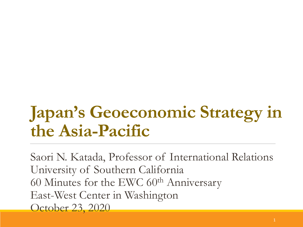# **Japan's Geoeconomic Strategy in the Asia-Pacific**

Saori N. Katada, Professor of International Relations University of Southern California 60 Minutes for the EWC  $60<sup>th</sup>$  Anniversary East-West Center in Washington October 23, 2020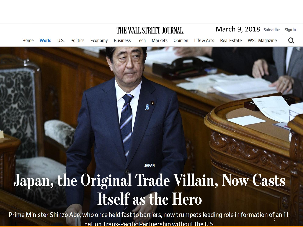

# Japan, the Original Trade Villain, Now Casts **Itself as the Hero**

**JAPAN** 

2 nation Trans-Pacific Partnership without the U.S.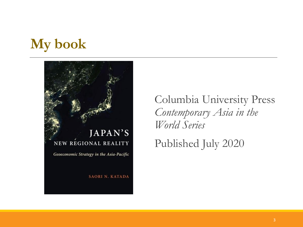## **My book**



Columbia University Press *Contemporary Asia in the World Series*

Published July 2020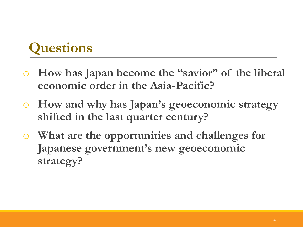## **Questions**

- o **How has Japan become the "savior" of the liberal economic order in the Asia-Pacific?**
- o **How and why has Japan's geoeconomic strategy shifted in the last quarter century?**
- o **What are the opportunities and challenges for Japanese government's new geoeconomic strategy?**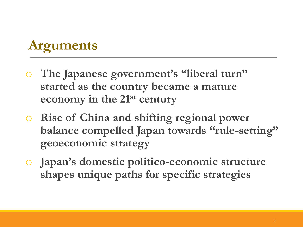# **Arguments**

- The Japanese government's "liberal turn" **started as the country became a mature economy in the 21st century**
- o **Rise of China and shifting regional power balance compelled Japan towards "rule-setting" geoeconomic strategy**
- o **Japan's domestic politico-economic structure shapes unique paths for specific strategies**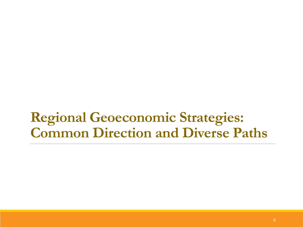### **Regional Geoeconomic Strategies: Common Direction and Diverse Paths**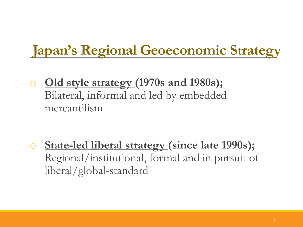## **Japan's Regional Geoeconomic Strategy**

o **Old style strategy (1970s and 1980s);**  Bilateral, informal and led by embedded mercantilism

o **State-led liberal strategy (since late 1990s);** Regional/institutional, formal and in pursuit of liberal/global-standard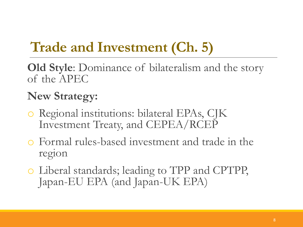# **Trade and Investment (Ch. 5)**

**Old Style**: Dominance of bilateralism and the story of the APEC

### **New Strategy:**

- o Regional institutions: bilateral EPAs, CJK Investment Treaty, and CEPEA/RCEP
- o Formal rules-based investment and trade in the region
- o Liberal standards; leading to TPP and CPTPP, Japan-EU EPA (and Japan-UK EPA)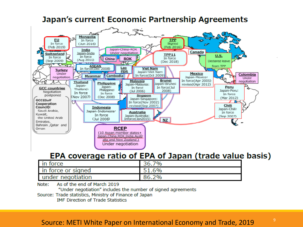

#### Japan's current Economic Partnership Agreements

#### EPA coverage ratio of EPA of Japan (trade value basis)

| in force           | 7%<br>36.7 |
|--------------------|------------|
| in force or signed | 51.6%      |
| under negotiation  | 86.2%      |

Note: As of the end of March 2019

"Under negotiation" includes the number of signed agreements

Source: Trade statistics, Ministry of Finance of Japan **IMF Direction of Trade Statistics** 

#### Source: METI White Paper on International Economy and Trade, 2019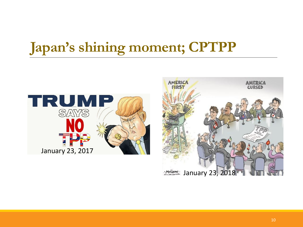## **Japan's shining moment; CPTPP**



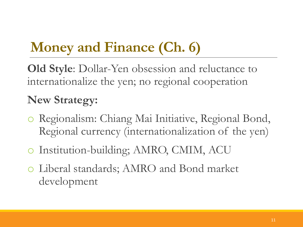# **Money and Finance (Ch. 6)**

**Old Style**: Dollar-Yen obsession and reluctance to internationalize the yen; no regional cooperation

### **New Strategy:**

- o Regionalism: Chiang Mai Initiative, Regional Bond, Regional currency (internationalization of the yen)
- o Institution-building; AMRO, CMIM, ACU
- o Liberal standards; AMRO and Bond market development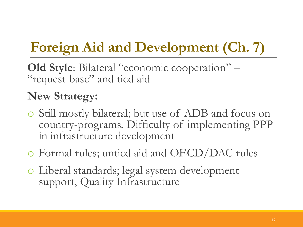# **Foreign Aid and Development (Ch. 7)**

**Old Style**: Bilateral "economic cooperation" – "request-base" and tied aid

### **New Strategy:**

- o Still mostly bilateral; but use of ADB and focus on country-programs. Difficulty of implementing PPP in infrastructure development
- o Formal rules; untied aid and OECD/DAC rules
- o Liberal standards; legal system development support, Quality Infrastructure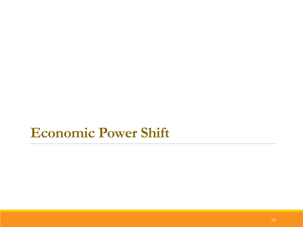### **Economic Power Shift**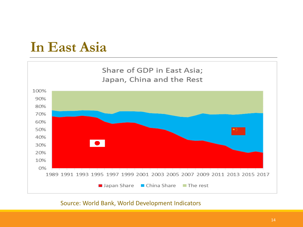### **In East Asia**



#### Source: World Bank, World Development Indicators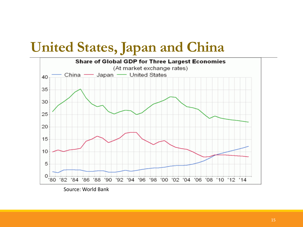### **United States, Japan and China**

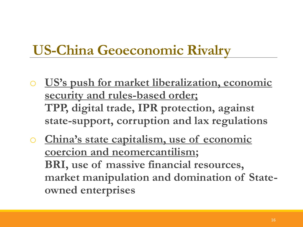## **US-China Geoeconomic Rivalry**

- o **US's push for market liberalization, economic security and rules-based order; TPP, digital trade, IPR protection, against state-support, corruption and lax regulations**
- o **China's state capitalism, use of economic coercion and neomercantilism; BRI, use of massive financial resources, market manipulation and domination of Stateowned enterprises**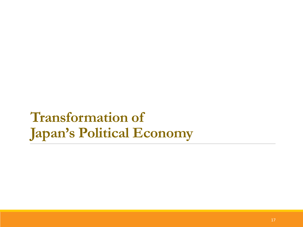## **Transformation of Japan's Political Economy**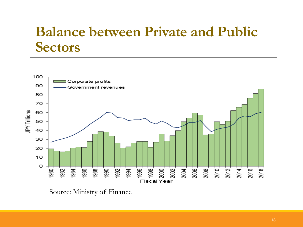### **Balance between Private and Public Sectors**



Source: Ministry of Finance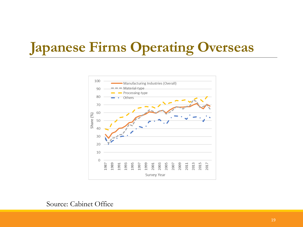# **Japanese Firms Operating Overseas**



#### Source: Cabinet Office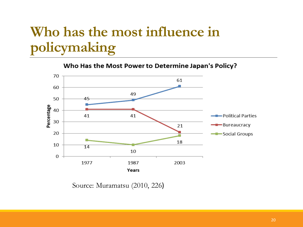## **Who has the most influence in policymaking**

Who Has the Most Power to Determine Japan's Policy?



Source: Muramatsu (2010, 226)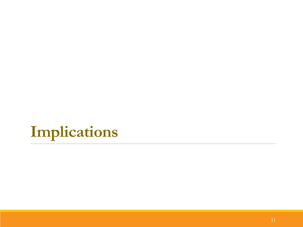# **Implications**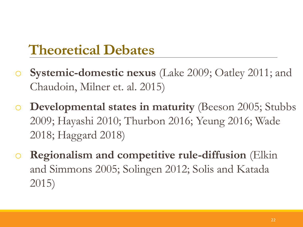## **Theoretical Debates**

- **Systemic-domestic nexus** (Lake 2009; Oatley 2011; and Chaudoin, Milner et. al. 2015)
- o **Developmental states in maturity** (Beeson 2005; Stubbs 2009; Hayashi 2010; Thurbon 2016; Yeung 2016; Wade 2018; Haggard 2018)
- **Regionalism and competitive rule-diffusion** (Elkin and Simmons 2005; Solingen 2012; Solis and Katada 2015)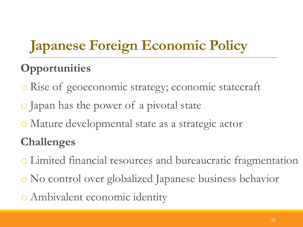# **Japanese Foreign Economic Policy**

### **Opportunities**

- o Rise of geoeconomic strategy; economic statecraft
- o Japan has the power of a pivotal state
- o Mature developmental state as a strategic actor

### **Challenges**

- o Limited financial resources and bureaucratic fragmentation
- o No control over globalized Japanese business behavior
- o Ambivalent economic identity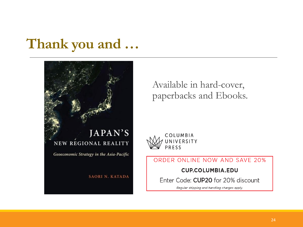### **Thank you and …**



Available in hard-cover, paperbacks and Ebooks.



ORDER ONLINE NOW AND SAVE 20%

#### **CUP.COLUMBIA.EDU**

Enter Code: CUP20 for 20% discount

Regular shipping and handling charges apply.